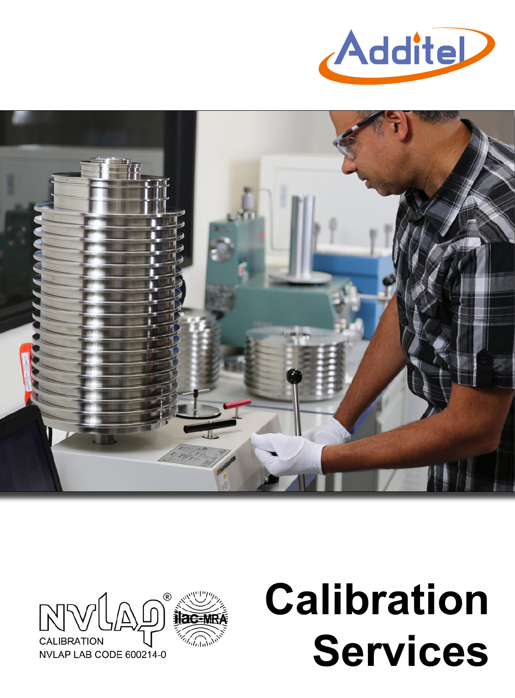





# **Calibration Services**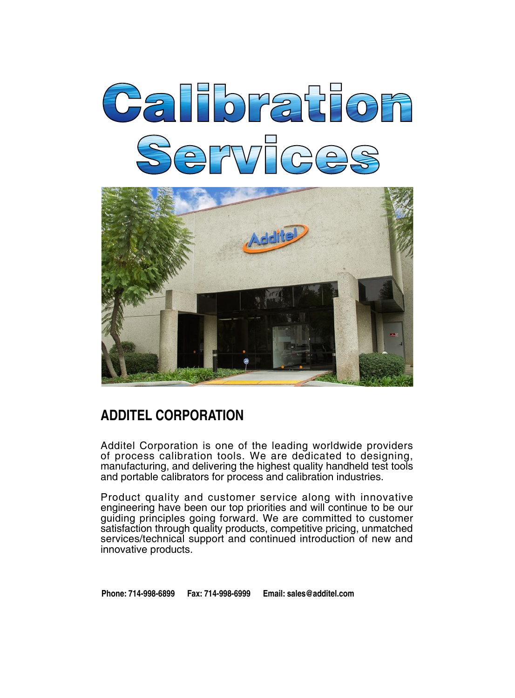



# **ADDITEL CORPORATION**

Additel Corporation is one of the leading worldwide providers of process calibration tools. We are dedicated to designing, manufacturing, and delivering the highest quality handheld test tools and portable calibrators for process and calibration industries.

Product quality and customer service along with innovative engineering have been our top priorities and will continue to be our guiding principles going forward. We are committed to customer satisfaction through quality products, competitive pricing, unmatched services/technical support and continued introduction of new and innovative products.

**Phone: 714-998-6899 Fax: 714-998-6999 Email: sales@additel.com**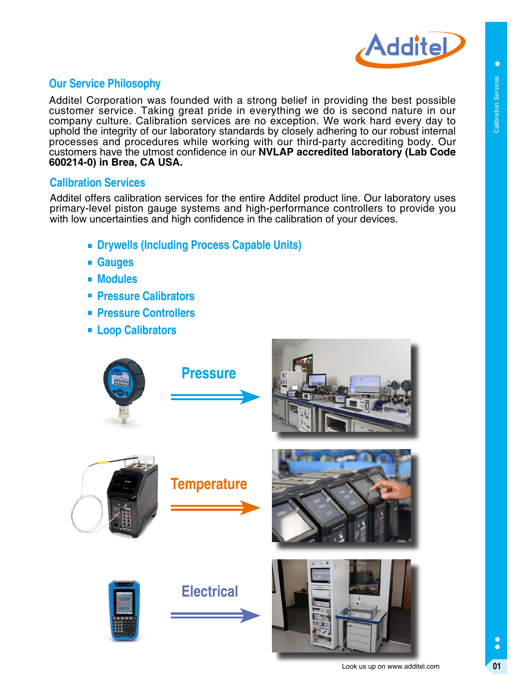

 $\bullet$ 

# **Our Service Philosophy**

Additel Corporation was founded with a strong belief in providing the best possible customer service. Taking great pride in everything we do is second nature in our company culture. Calibration services are no exception. We work hard every day to uphold the integrity of our laboratory standards by closely adhering to our robust internal processes and procedures while working with our third-party accrediting body. Our customers have the utmost confidence in our **NVLAP accredited laboratory (Lab Code 600214-0) in Brea, CA USA.** 

#### **Calibration Services**

Additel offers calibration services for the entire Additel product line. Our laboratory uses primary-level piston gauge systems and high-performance controllers to provide you with low uncertainties and high confidence in the calibration of your devices.

- **Drywells (Including Process Capable Units)**
- **Gauges**
- **Modules**
- **Pressure Calibrators**
- **Pressure Controllers**
- **Loop Calibrators**

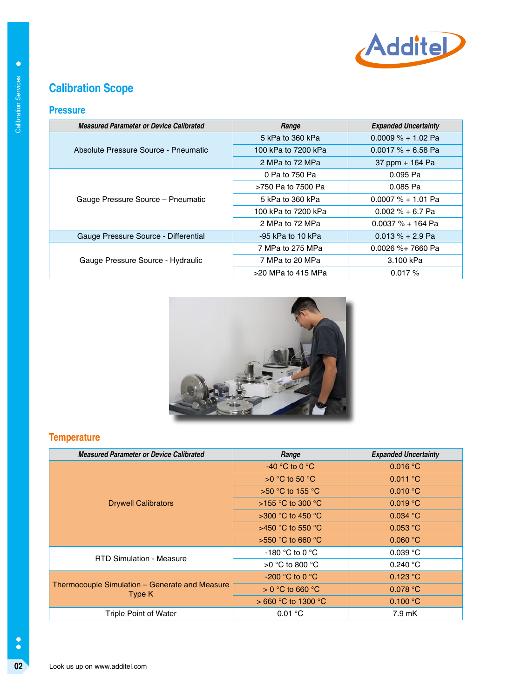

# **Calibration Scope**

#### **Pressure**

| <b>Measured Parameter or Device Calibrated</b> | Range               | <b>Expanded Uncertainty</b> |  |
|------------------------------------------------|---------------------|-----------------------------|--|
|                                                | 5 kPa to 360 kPa    | $0.0009 \% + 1.02$ Pa       |  |
| Absolute Pressure Source - Pneumatic           | 100 kPa to 7200 kPa | $0.0017 \% + 6.58$ Pa       |  |
|                                                | 2 MPa to 72 MPa     | 37 ppm + 164 Pa             |  |
|                                                | 0 Pa to 750 Pa      | $0.095$ Pa                  |  |
|                                                | >750 Pa to 7500 Pa  | 0.085 Pa                    |  |
| Gauge Pressure Source - Pneumatic              | 5 kPa to 360 kPa    | $0.0007 \% + 1.01$ Pa       |  |
|                                                | 100 kPa to 7200 kPa | $0.002 \% + 6.7$ Pa         |  |
|                                                | 2 MPa to 72 MPa     | $0.0037 \% + 164$ Pa        |  |
| Gauge Pressure Source - Differential           | -95 kPa to 10 kPa   | $0.013 \% + 2.9$ Pa         |  |
|                                                | 7 MPa to 275 MPa    | $0.0026 \%$ + 7660 Pa       |  |
| Gauge Pressure Source - Hydraulic              | 7 MPa to 20 MPa     | 3.100 kPa                   |  |
|                                                | >20 MPa to 415 MPa  | 0.017%                      |  |



# **Temperature**

| <b>Measured Parameter or Device Calibrated</b> | Range                    | <b>Expanded Uncertainty</b>             |
|------------------------------------------------|--------------------------|-----------------------------------------|
|                                                | 5 kPa to 360 kPa         | $0.0009 % + 1.02 Pa$                    |
| Absolute Pressure Source - Pneumatic           | 100 kPa to 7200 kPa      | $0.0017 % + 6.58 Pa$                    |
|                                                | 2 MPa to 72 MPa          | 37 ppm + 164 Pa                         |
|                                                | 0 Pa to 750 Pa           | 0.095 Pa                                |
|                                                | >750 Pa to 7500 Pa       | 0.085 Pa                                |
| Gauge Pressure Source - Pneumatic              | 5 kPa to 360 kPa         | $0.0007 % + 1.01 Pa$                    |
|                                                | 100 kPa to 7200 kPa      | $0.002 \% + 6.7$ Pa                     |
|                                                | 2 MPa to 72 MPa          | $0.0037 \% + 164$ Pa                    |
| Gauge Pressure Source - Differential           | -95 kPa to 10 kPa        | $0.013 % + 2.9 Pa$                      |
|                                                | 7 MPa to 275 MPa         | 0.0026 %+ 7660 Pa                       |
| Gauge Pressure Source - Hydraulic              | 7 MPa to 20 MPa          | 3.100 kPa                               |
|                                                | >20 MPa to 415 MPa       | 0.017%                                  |
|                                                |                          |                                         |
|                                                |                          |                                         |
| <b>Measured Parameter or Device Calibrated</b> |                          |                                         |
| <b>Temperature</b>                             | Range<br>-40 °C to 0 °C. | <b>Expanded Uncertainty</b><br>0.016 °C |
|                                                | >0 °C to 50 °C           | $0.011$ °C                              |
|                                                | >50 °C to 155 °C         | 0.010 °C                                |
| <b>Drywell Calibrators</b>                     | >155 °C to 300 °C        | $0.019$ °C                              |
|                                                | >300 °C to 450 °C        | $0.034$ °C                              |
|                                                | >450 °C to 550 °C        | 0.053 °C                                |
|                                                | >550 °C to 660 °C        | $0.060$ °C                              |
|                                                | -180 °C to 0 °C          | $0.039$ °C                              |
| <b>RTD Simulation - Measure</b>                | >0 °C to 800 °C          | 0.240 °C                                |
|                                                | -200 °C to 0 °C          | 0.123 °C                                |
| Thermocouple Simulation - Generate and Measure | $> 0 °C$ to 660 $°C$     | 0.078 °C                                |
| Type K                                         | > 660 °C to 1300 °C      | 0.100 °C                                |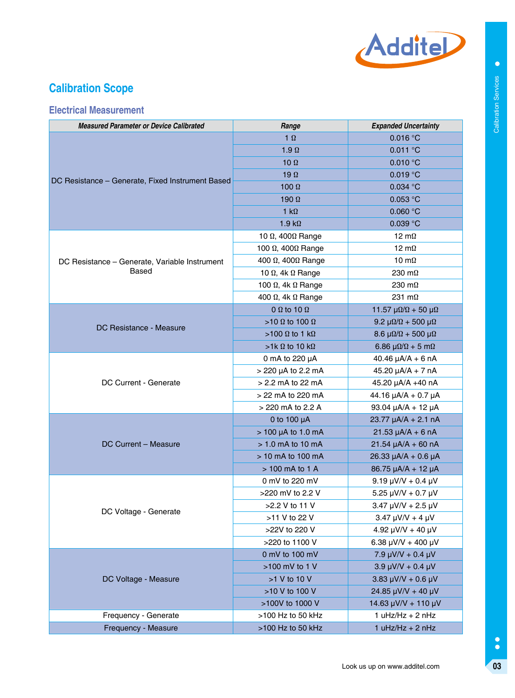

# **Calibration Scope**

# **Electrical Measurement**

| <b>Measured Parameter or Device Calibrated</b>   | Range                            | <b>Expanded Uncertainty</b>               |
|--------------------------------------------------|----------------------------------|-------------------------------------------|
|                                                  | $1 \Omega$                       | 0.016 °C                                  |
|                                                  | $1.9 \Omega$                     | $0.011$ °C                                |
|                                                  | 10 $\Omega$                      | 0.010 °C                                  |
|                                                  | 19 $\Omega$                      | $0.019$ °C                                |
| DC Resistance - Generate, Fixed Instrument Based | $100 \Omega$                     | $0.034$ °C                                |
|                                                  | 190 $\Omega$                     | $0.053$ °C                                |
|                                                  | 1 $k\Omega$                      | 0.060 °C                                  |
|                                                  | $1.9 k\Omega$                    | 0.039 °C                                  |
|                                                  | 10 $\Omega$ , 400 $\Omega$ Range | 12 $m\Omega$                              |
|                                                  | 100 $Ω$ , 400 $Ω$ Range          | 12 $m\Omega$                              |
| DC Resistance - Generate, Variable Instrument    | 400 $Ω$ , 400 $Ω$ Range          | 10 m $\Omega$                             |
| Based                                            | 10 $\Omega$ , 4k $\Omega$ Range  | 230 $m\Omega$                             |
|                                                  | 100 $\Omega$ , 4k $\Omega$ Range | 230 $m\Omega$                             |
|                                                  | 400 $\Omega$ , 4k $\Omega$ Range | 231 $m\Omega$                             |
|                                                  | 0 $\Omega$ to 10 $\Omega$        | 11.57 $\mu\Omega/\Omega$ + 50 $\mu\Omega$ |
| DC Resistance - Measure                          | $>10 \Omega$ to 100 $\Omega$     | 9.2 $\mu\Omega/\Omega$ + 500 $\mu\Omega$  |
|                                                  | >100 Ω to 1 kΩ                   | $8.6 \mu\Omega/\Omega + 500 \mu\Omega$    |
|                                                  | $>1k \Omega$ to 10 k $\Omega$    | 6.86 $\mu\Omega/\Omega$ + 5 m $\Omega$    |
|                                                  | 0 mA to 220 µA                   | 40.46 $\mu$ A/A + 6 nA                    |
|                                                  | > 220 µA to 2.2 mA               | $45.20 \mu A/A + 7 nA$                    |
| DC Current - Generate                            | > 2.2 mA to 22 mA                | 45.20 µA/A +40 nA                         |
|                                                  | > 22 mA to 220 mA                | 44.16 µA/A + 0.7 µA                       |
|                                                  | > 220 mA to 2.2 A                | 93.04 µA/A + 12 µA                        |
|                                                  | 0 to 100 $\mu$ A                 | $23.77 \mu A/A + 2.1 nA$                  |
|                                                  | > 100 µA to 1.0 mA               | $21.53 \mu A/A + 6 nA$                    |
| DC Current - Measure                             | $> 1.0$ mA to 10 mA              | $21.54 \mu A/A + 60 \n A$                 |
|                                                  | > 10 mA to 100 mA                | 26.33 µA/A + 0.6 µA                       |
|                                                  | > 100 mA to 1 A                  | 86.75 µA/A + 12 µA                        |
|                                                  | 0 mV to 220 mV                   | $9.19 \mu V/V + 0.4 \mu V$                |
|                                                  | >220 mV to 2.2 V                 | $5.25 \mu V/V + 0.7 \mu V$                |
| DC Voltage - Generate                            | >2.2 V to 11 V                   | $3.47 \mu V/V + 2.5 \mu V$                |
|                                                  | >11 V to 22 V                    | $3.47 \mu V/V + 4 \mu V$                  |
|                                                  | >22V to 220 V                    | 4.92 $\mu$ V/V + 40 $\mu$ V               |
|                                                  | >220 to 1100 V                   | 6.38 $\mu$ V/V + 400 $\mu$ V              |
|                                                  | 0 mV to 100 mV                   | 7.9 $\mu$ V/V + 0.4 $\mu$ V               |
|                                                  | >100 mV to 1 V                   | $3.9 \mu V/V + 0.4 \mu V$                 |
| DC Voltage - Measure                             | >1 V to 10 V                     | $3.83 \mu V/V + 0.6 \mu V$                |
|                                                  | >10 V to 100 V                   | 24.85 µV/V + 40 µV                        |
|                                                  | >100V to 1000 V                  | 14.63 $\mu$ V/V + 110 $\mu$ V             |
| Frequency - Generate                             | >100 Hz to 50 kHz                | $1 uHz/Hz + 2 nHz$                        |
| Frequency - Measure                              | >100 Hz to 50 kHz                | $1 uHz/Hz + 2 nHz$                        |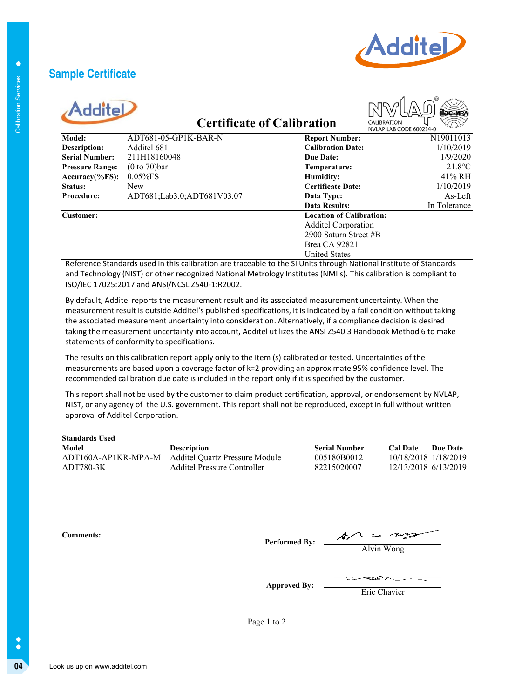# **Sample Certificate**



| AdditeL |  |
|---------|--|

# **Certificate of Calibration**



| Additel                                     |                           |                                                                                                                      |                     |                                              |                                                       |                     |
|---------------------------------------------|---------------------------|----------------------------------------------------------------------------------------------------------------------|---------------------|----------------------------------------------|-------------------------------------------------------|---------------------|
|                                             |                           | <b>Certificate of Calibration</b>                                                                                    |                     |                                              | NVLAP LAB CODE 600214-0                               |                     |
| Model:                                      |                           | ADT681-05-GP1K-BAR-N                                                                                                 |                     | <b>Report Number:</b>                        |                                                       | N19011013           |
| <b>Description:</b>                         | Additel 681               |                                                                                                                      |                     | <b>Calibration Date:</b>                     |                                                       | 1/10/2019           |
| <b>Serial Number:</b>                       | 211H18160048              |                                                                                                                      |                     | <b>Due Date:</b>                             |                                                       | 1/9/2020            |
| <b>Pressure Range:</b>                      | $(0 to 70)$ bar           |                                                                                                                      |                     | Temperature:                                 |                                                       | $21.8$ °C<br>41% RH |
| Accuracy(%FS):<br>Status:                   | $0.05\%$ FS<br><b>New</b> |                                                                                                                      |                     | <b>Humidity:</b><br><b>Certificate Date:</b> |                                                       | 1/10/2019           |
| Procedure:                                  |                           | ADT681;Lab3.0;ADT681V03.07                                                                                           |                     | Data Type:                                   |                                                       | As-Left             |
|                                             |                           |                                                                                                                      |                     | <b>Data Results:</b>                         |                                                       | In Tolerance        |
| <b>Customer:</b>                            |                           |                                                                                                                      |                     | <b>Location of Calibration:</b>              |                                                       |                     |
|                                             |                           |                                                                                                                      |                     | <b>Additel Corporation</b>                   |                                                       |                     |
|                                             |                           |                                                                                                                      |                     | 2900 Saturn Street #B                        |                                                       |                     |
|                                             |                           |                                                                                                                      |                     | <b>Brea CA 92821</b>                         |                                                       |                     |
|                                             |                           |                                                                                                                      |                     | <b>United States</b>                         |                                                       |                     |
|                                             |                           | Reference Standards used in this calibration are traceable to the SI Units through National Institute of Standards   |                     |                                              |                                                       |                     |
|                                             |                           | and Technology (NIST) or other recognized National Metrology Institutes (NMI's). This calibration is compliant to    |                     |                                              |                                                       |                     |
|                                             |                           | ISO/IEC 17025:2017 and ANSI/NCSL Z540-1:R2002.                                                                       |                     |                                              |                                                       |                     |
|                                             |                           | By default, Additel reports the measurement result and its associated measurement uncertainty. When the              |                     |                                              |                                                       |                     |
|                                             |                           | measurement result is outside Additel's published specifications, it is indicated by a fail condition without taking |                     |                                              |                                                       |                     |
|                                             |                           | the associated measurement uncertainty into consideration. Alternatively, if a compliance decision is desired        |                     |                                              |                                                       |                     |
|                                             |                           | taking the measurement uncertainty into account, Additel utilizes the ANSI Z540.3 Handbook Method 6 to make          |                     |                                              |                                                       |                     |
| statements of conformity to specifications. |                           |                                                                                                                      |                     |                                              |                                                       |                     |
|                                             |                           |                                                                                                                      |                     |                                              |                                                       |                     |
|                                             |                           | The results on this calibration report apply only to the item (s) calibrated or tested. Uncertainties of the         |                     |                                              |                                                       |                     |
|                                             |                           | measurements are based upon a coverage factor of k=2 providing an approximate 95% confidence level. The              |                     |                                              |                                                       |                     |
|                                             |                           |                                                                                                                      |                     |                                              |                                                       |                     |
|                                             |                           | recommended calibration due date is included in the report only if it is specified by the customer.                  |                     |                                              |                                                       |                     |
|                                             |                           |                                                                                                                      |                     |                                              |                                                       |                     |
|                                             |                           | This report shall not be used by the customer to claim product certification, approval, or endorsement by NVLAP,     |                     |                                              |                                                       |                     |
|                                             |                           | NIST, or any agency of the U.S. government. This report shall not be reproduced, except in full without written      |                     |                                              |                                                       |                     |
| approval of Additel Corporation.            |                           |                                                                                                                      |                     |                                              |                                                       |                     |
|                                             |                           |                                                                                                                      |                     |                                              |                                                       |                     |
| <b>Standards Used</b>                       |                           |                                                                                                                      |                     |                                              |                                                       |                     |
| <b>Model</b>                                |                           | Description                                                                                                          |                     | <b>Serial Number</b>                         | <b>Cal Date</b>                                       |                     |
| ADT160A-AP1KR-MPA-M                         |                           | <b>Additel Quartz Pressure Module</b>                                                                                |                     | 005180B0012                                  | 10/18/2018 1/18/2019                                  |                     |
| ADT780-3K                                   |                           | <b>Additel Pressure Controller</b>                                                                                   |                     | 82215020007                                  | 12/13/2018 6/13/2019                                  |                     |
|                                             |                           |                                                                                                                      |                     |                                              |                                                       |                     |
|                                             |                           |                                                                                                                      |                     |                                              |                                                       |                     |
|                                             |                           |                                                                                                                      |                     |                                              |                                                       |                     |
|                                             |                           |                                                                                                                      |                     |                                              |                                                       |                     |
| <b>Comments:</b>                            |                           |                                                                                                                      |                     |                                              |                                                       |                     |
|                                             |                           |                                                                                                                      |                     |                                              | Performed By: $\frac{\sqrt{2\pi}}{\text{Alvin Wong}}$ |                     |
|                                             |                           |                                                                                                                      |                     |                                              |                                                       |                     |
|                                             |                           |                                                                                                                      |                     |                                              |                                                       |                     |
|                                             |                           |                                                                                                                      | <b>Approved By:</b> |                                              | Eric Chavier                                          |                     |
|                                             |                           |                                                                                                                      |                     |                                              |                                                       | <b>Due Date</b>     |
|                                             |                           | Page 1 to 2                                                                                                          |                     |                                              |                                                       |                     |
|                                             |                           |                                                                                                                      |                     |                                              |                                                       |                     |

| <b>Standards Used</b> |                                       |                      |                             |
|-----------------------|---------------------------------------|----------------------|-----------------------------|
| Model                 | <b>Description</b>                    | <b>Serial Number</b> | <b>Cal Date</b><br>Due Date |
| ADT160A-AP1KR-MPA-M   | <b>Additel Ouartz Pressure Module</b> | 005180B0012          | 10/18/2018 1/18/2019        |
| ADT780-3K             | Additel Pressure Controller           | 82215020007          | 12/13/2018 6/13/2019        |

Alvin Wong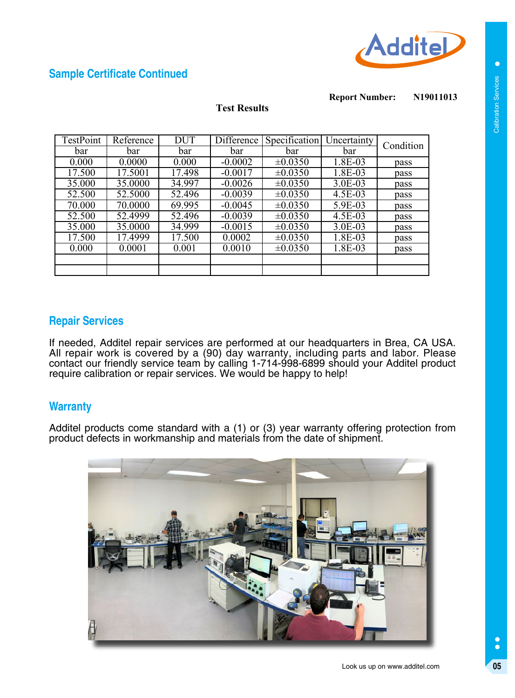

# **Sample Certificate Continued**

**N19011013 Report Number:**

#### **Test Results**

| TestPoint | Reference | <b>DUT</b> | <b>Difference</b> | Specification | Uncertainty | Condition |
|-----------|-----------|------------|-------------------|---------------|-------------|-----------|
| bar       | bar       | bar        | bar               | bar           | bar         |           |
| 0.000     | 0.0000    | 0.000      | $-0.0002$         | $\pm 0.0350$  | 1.8E-03     | pass      |
| 17.500    | 17.5001   | 17.498     | $-0.0017$         | $\pm 0.0350$  | 1.8E-03     | pass      |
| 35.000    | 35.0000   | 34.997     | $-0.0026$         | $\pm 0.0350$  | 3.0E-03     | pass      |
| 52.500    | 52.5000   | 52.496     | $-0.0039$         | $\pm 0.0350$  | 4.5E-03     | pass      |
| 70.000    | 70.0000   | 69.995     | $-0.0045$         | $\pm 0.0350$  | 5.9E-03     | pass      |
| 52.500    | 52.4999   | 52.496     | $-0.0039$         | $\pm 0.0350$  | 4.5E-03     | pass      |
| 35.000    | 35.0000   | 34.999     | $-0.0015$         | $\pm 0.0350$  | 3.0E-03     | pass      |
| 17.500    | 17.4999   | 17.500     | 0.0002            | $\pm 0.0350$  | 1.8E-03     | pass      |
| 0.000     | 0.0001    | 0.001      | 0.0010            | $\pm 0.0350$  | 1.8E-03     | pass      |
|           |           |            |                   |               |             |           |
|           |           |            |                   |               |             |           |

#### **Repair Services**

If needed, Additel repair services are performed at our headquarters in Brea, CA USA. All repair work is covered by a (90) day warranty, including parts and labor. Please contact our friendly service team by calling 1-714-998-6899 should your Additel product require calibration or repair services. We would be happy to help!

# **Warranty**

Additel products come standard with a (1) or (3) year warranty offering protection from product defects in workmanship and materials from the date of shipment.